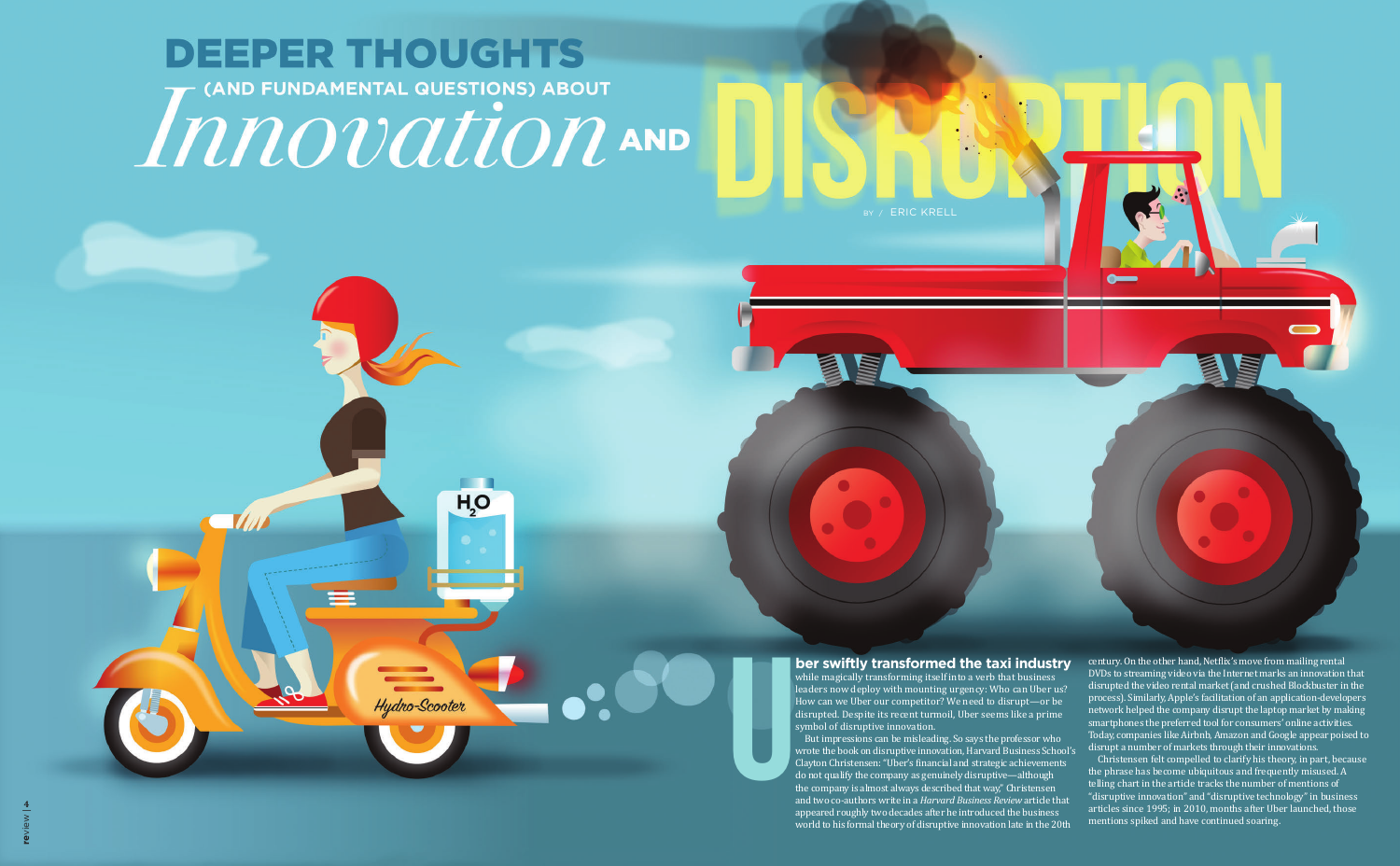# **DEEPER THOUGHTS** MINOVALION AND

 $H<sub>2</sub>O$ 

**ERIC KRELL** 

**ber swiftly transformed the taxi industry** while magically transforming itself into a verb that business leaders now deploy with mounting urgency: Who can Uber us? How can we Uber our competitor? We need to disrupt—or be disrupted. Despite its recent turmoil, Uber seems like a prime symbol of disruptive innovation. But impressions can be misleading. So says the professor who wrote the book on disruptive innovation, Harvard Business School's Clayton Christensen: "Uber's financial and strategic achievements do not qualify the company as genuinely disruptive—although the company is almost always described that way," Christensen and two co-authors write in a *Harvard Business Review* article that appeared roughly two decades after he introduced the business world to his formal theory of disruptive innovation late in the 20th century. On the other hand, Netflix's move from mailing rental DVDs to streaming video via the Internet marks an innovation that disrupted the video rental market (and crushed Blockbuster in the process). Similarly, Apple's facilitation of an application-developers network helped the company disrupt the laptop market by making smartphones the preferred tool for consumers' online activities. Today, companies like Airbnb, Amazon and Google appear poised to disrupt a number of markets through their innovations. Christensen felt compelled to clarify his theory, in part, because the phrase has become ubiquitous and frequently misused. A telling chart in the article tracks the number of mentions of "disruptive innovation" and "disruptive technology" in business articles since 1995; in 2010, months after Uber launched, those mentions spiked and have continued soaring.

**U**